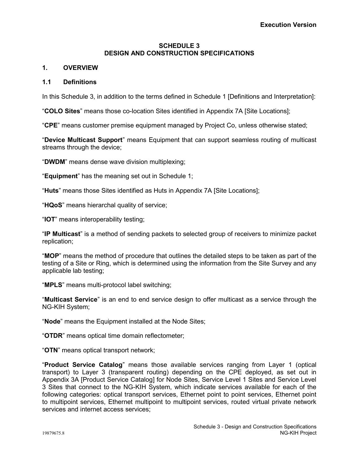# **SCHEDULE 3 DESIGN AND CONSTRUCTION SPECIFICATIONS**

# **1. OVERVIEW**

# **1.1 Definitions**

In this Schedule 3, in addition to the terms defined in Schedule 1 [Definitions and Interpretation]:

"**COLO Sites**" means those co-location Sites identified in Appendix 7A [Site Locations];

"**CPE**" means customer premise equipment managed by Project Co, unless otherwise stated;

"**Device Multicast Support**" means Equipment that can support seamless routing of multicast streams through the device;

"**DWDM**" means dense wave division multiplexing;

"**Equipment**" has the meaning set out in Schedule 1;

"**Huts**" means those Sites identified as Huts in Appendix 7A [Site Locations];

"**HQoS**" means hierarchal quality of service;

"**IOT**" means interoperability testing;

"**IP Multicast**" is a method of sending packets to selected group of receivers to minimize packet replication;

"**MOP**" means the method of procedure that outlines the detailed steps to be taken as part of the testing of a Site or Ring, which is determined using the information from the Site Survey and any applicable lab testing;

"**MPLS**" means multi-protocol label switching;

"**Multicast Service**" is an end to end service design to offer multicast as a service through the NG-KIH System;

"**Node**" means the Equipment installed at the Node Sites;

"**OTDR**" means optical time domain reflectometer;

"**OTN**" means optical transport network;

"**Product Service Catalog**" means those available services ranging from Layer 1 (optical transport) to Layer 3 (transparent routing) depending on the CPE deployed, as set out in Appendix 3A [Product Service Catalog] for Node Sites, Service Level 1 Sites and Service Level 3 Sites that connect to the NG-KIH System, which indicate services available for each of the following categories: optical transport services, Ethernet point to point services, Ethernet point to multipoint services, Ethernet multipoint to multipoint services, routed virtual private network services and internet access services;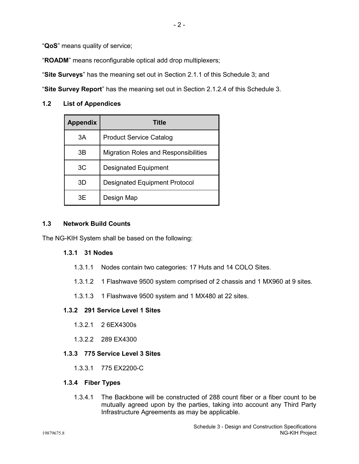"**QoS**" means quality of service;

"**ROADM**" means reconfigurable optical add drop multiplexers;

"**Site Surveys**" has the meaning set out in Section 2.1.1 of this Schedule 3; and

"**Site Survey Report**" has the meaning set out in Section 2.1.2.4 of this Schedule 3.

## **1.2 List of Appendices**

| <b>Appendix</b> | Title                                       |
|-----------------|---------------------------------------------|
| 3A              | <b>Product Service Catalog</b>              |
| 3B              | <b>Migration Roles and Responsibilities</b> |
| 3C              | <b>Designated Equipment</b>                 |
| 3D              | <b>Designated Equipment Protocol</b>        |
| 3E              | Design Map                                  |

# **1.3 Network Build Counts**

The NG-KIH System shall be based on the following:

# **1.3.1 31 Nodes**

- 1.3.1.1 Nodes contain two categories: 17 Huts and 14 COLO Sites.
- 1.3.1.2 1 Flashwave 9500 system comprised of 2 chassis and 1 MX960 at 9 sites.
- 1.3.1.3 1 Flashwave 9500 system and 1 MX480 at 22 sites.

# **1.3.2 291 Service Level 1 Sites**

- 1.3.2.1 2 6EX4300s
- 1.3.2.2 289 EX4300

## **1.3.3 775 Service Level 3 Sites**

1.3.3.1 775 EX2200-C

## **1.3.4 Fiber Types**

1.3.4.1 The Backbone will be constructed of 288 count fiber or a fiber count to be mutually agreed upon by the parties, taking into account any Third Party Infrastructure Agreements as may be applicable.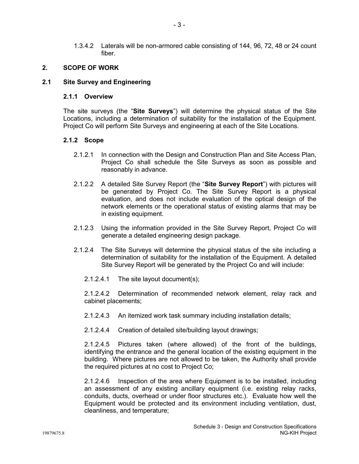1.3.4.2 Laterals will be non-armored cable consisting of 144, 96, 72, 48 or 24 count fiber.

# **2. SCOPE OF WORK**

## **2.1 Site Survey and Engineering**

## **2.1.1 Overview**

The site surveys (the "**Site Surveys**") will determine the physical status of the Site Locations, including a determination of suitability for the installation of the Equipment. Project Co will perform Site Surveys and engineering at each of the Site Locations.

## **2.1.2 Scope**

- 2.1.2.1 In connection with the Design and Construction Plan and Site Access Plan, Project Co shall schedule the Site Surveys as soon as possible and reasonably in advance.
- 2.1.2.2 A detailed Site Survey Report (the "**Site Survey Report**") with pictures will be generated by Project Co. The Site Survey Report is a physical evaluation, and does not include evaluation of the optical design of the network elements or the operational status of existing alarms that may be in existing equipment.
- 2.1.2.3 Using the information provided in the Site Survey Report, Project Co will generate a detailed engineering design package.
- 2.1.2.4 The Site Surveys will determine the physical status of the site including a determination of suitability for the installation of the Equipment. A detailed Site Survey Report will be generated by the Project Co and will include:
	- 2.1.2.4.1 The site layout document(s);

2.1.2.4.2 Determination of recommended network element, relay rack and cabinet placements;

- 2.1.2.4.3 An itemized work task summary including installation details;
- 2.1.2.4.4 Creation of detailed site/building layout drawings;

2.1.2.4.5 Pictures taken (where allowed) of the front of the buildings, identifying the entrance and the general location of the existing equipment in the building. Where pictures are not allowed to be taken, the Authority shall provide the required pictures at no cost to Project Co;

2.1.2.4.6 Inspection of the area where Equipment is to be installed, including an assessment of any existing ancillary equipment (i.e. existing relay racks, conduits, ducts, overhead or under floor structures etc.). Evaluate how well the Equipment would be protected and its environment including ventilation, dust, cleanliness, and temperature;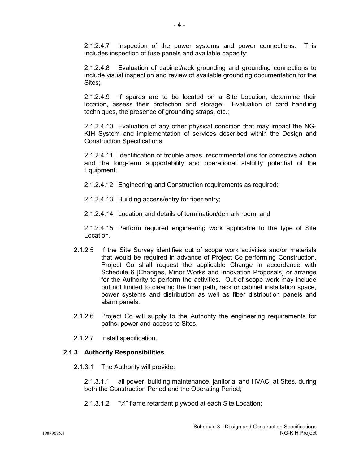2.1.2.4.7 Inspection of the power systems and power connections. This includes inspection of fuse panels and available capacity;

2.1.2.4.8 Evaluation of cabinet/rack grounding and grounding connections to include visual inspection and review of available grounding documentation for the Sites:

2.1.2.4.9 If spares are to be located on a Site Location, determine their location, assess their protection and storage. Evaluation of card handling techniques, the presence of grounding straps, etc.;

2.1.2.4.10 Evaluation of any other physical condition that may impact the NG-KIH System and implementation of services described within the Design and Construction Specifications;

2.1.2.4.11 Identification of trouble areas, recommendations for corrective action and the long-term supportability and operational stability potential of the Equipment;

2.1.2.4.12 Engineering and Construction requirements as required;

- 2.1.2.4.13 Building access/entry for fiber entry;
- 2.1.2.4.14 Location and details of termination/demark room; and

2.1.2.4.15 Perform required engineering work applicable to the type of Site Location.

- 2.1.2.5 If the Site Survey identifies out of scope work activities and/or materials that would be required in advance of Project Co performing Construction, Project Co shall request the applicable Change in accordance with Schedule 6 [Changes, Minor Works and Innovation Proposals] or arrange for the Authority to perform the activities. Out of scope work may include but not limited to clearing the fiber path, rack or cabinet installation space, power systems and distribution as well as fiber distribution panels and alarm panels.
- 2.1.2.6 Project Co will supply to the Authority the engineering requirements for paths, power and access to Sites.
- 2.1.2.7 Install specification.

# **2.1.3 Authority Responsibilities**

2.1.3.1 The Authority will provide:

2.1.3.1.1 all power, building maintenance, janitorial and HVAC, at Sites. during both the Construction Period and the Operating Period;

2.1.3.1.2 "¾" flame retardant plywood at each Site Location;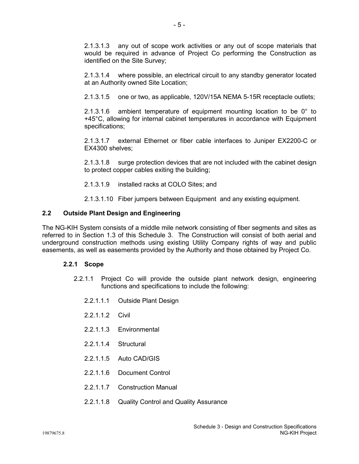2.1.3.1.3 any out of scope work activities or any out of scope materials that would be required in advance of Project Co performing the Construction as identified on the Site Survey;

2.1.3.1.4 where possible, an electrical circuit to any standby generator located at an Authority owned Site Location;

2.1.3.1.5 one or two, as applicable, 120V/15A NEMA 5-15R receptacle outlets;

2.1.3.1.6 ambient temperature of equipment mounting location to be 0° to +45°C, allowing for internal cabinet temperatures in accordance with Equipment specifications;

2.1.3.1.7 external Ethernet or fiber cable interfaces to Juniper EX2200-C or EX4300 shelves;

2.1.3.1.8 surge protection devices that are not included with the cabinet design to protect copper cables exiting the building;

2.1.3.1.9 installed racks at COLO Sites; and

2.1.3.1.10 Fiber jumpers between Equipment and any existing equipment.

# **2.2 Outside Plant Design and Engineering**

The NG-KIH System consists of a middle mile network consisting of fiber segments and sites as referred to in Section 1.3 of this Schedule 3. The Construction will consist of both aerial and underground construction methods using existing Utility Company rights of way and public easements, as well as easements provided by the Authority and those obtained by Project Co.

## **2.2.1 Scope**

- 2.2.1.1 Project Co will provide the outside plant network design, engineering functions and specifications to include the following:
	- 2.2.1.1.1 Outside Plant Design
	- 2.2.1.1.2 Civil
	- 2.2.1.1.3 Environmental
	- 2.2.1.1.4 Structural
	- 2.2.1.1.5 Auto CAD/GIS
	- 2.2.1.1.6 Document Control
	- 2.2.1.1.7 Construction Manual
	- 2.2.1.1.8 Quality Control and Quality Assurance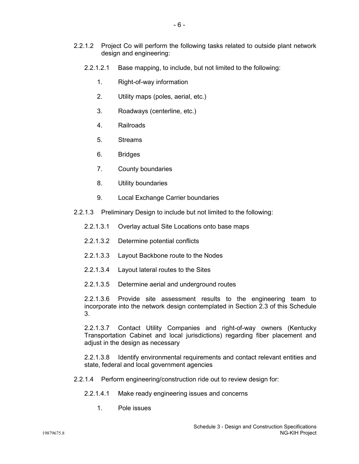- 2.2.1.2.1 Base mapping, to include, but not limited to the following:
	- 1. Right-of-way information
	- 2. Utility maps (poles, aerial, etc.)
	- 3. Roadways (centerline, etc.)
	- 4. Railroads
	- 5. Streams
	- 6. Bridges
	- 7. County boundaries
	- 8. Utility boundaries
	- 9. Local Exchange Carrier boundaries
- 2.2.1.3 Preliminary Design to include but not limited to the following:
	- 2.2.1.3.1 Overlay actual Site Locations onto base maps
	- 2.2.1.3.2 Determine potential conflicts
	- 2.2.1.3.3 Layout Backbone route to the Nodes
	- 2.2.1.3.4 Layout lateral routes to the Sites
	- 2.2.1.3.5 Determine aerial and underground routes

2.2.1.3.6 Provide site assessment results to the engineering team to incorporate into the network design contemplated in Section 2.3 of this Schedule 3.

2.2.1.3.7 Contact Utility Companies and right-of-way owners (Kentucky Transportation Cabinet and local jurisdictions) regarding fiber placement and adjust in the design as necessary

2.2.1.3.8 Identify environmental requirements and contact relevant entities and state, federal and local government agencies

- 2.2.1.4 Perform engineering/construction ride out to review design for:
	- 2.2.1.4.1 Make ready engineering issues and concerns
		- 1. Pole issues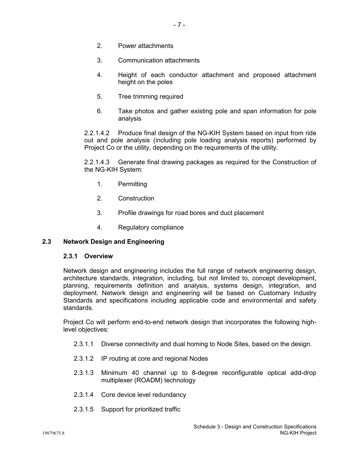- 2. Power attachments
- 3. Communication attachments
- 4. Height of each conductor attachment and proposed attachment height on the poles
- 5. Tree trimming required
- 6. Take photos and gather existing pole and span information for pole analysis

2.2.1.4.2 Produce final design of the NG-KIH System based on input from ride out and pole analysis (including pole loading analysis reports) performed by Project Co or the utility, depending on the requirements of the utility.

2.2.1.4.3 Generate final drawing packages as required for the Construction of the NG-KIH System:

- 1. Permitting
- 2. Construction
- 3. Profile drawings for road bores and duct placement
- 4. Regulatory compliance

# **2.3 Network Design and Engineering**

## **2.3.1 Overview**

Network design and engineering includes the full range of network engineering design, architecture standards, integration, including, but not limited to, concept development, planning, requirements definition and analysis, systems design, integration, and deployment. Network design and engineering will be based on Customary Industry Standards and specifications including applicable code and environmental and safety standards.

Project Co will perform end-to-end network design that incorporates the following highlevel objectives:

- 2.3.1.1 Diverse connectivity and dual homing to Node Sites, based on the design.
- 2.3.1.2 IP routing at core and regional Nodes
- 2.3.1.3 Minimum 40 channel up to 8-degree reconfigurable optical add-drop multiplexer (ROADM) technology
- 2.3.1.4 Core device level redundancy
- 2.3.1.5 Support for prioritized traffic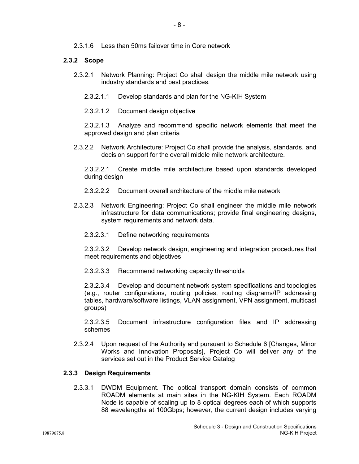2.3.1.6 Less than 50ms failover time in Core network

# **2.3.2 Scope**

- 2.3.2.1 Network Planning: Project Co shall design the middle mile network using industry standards and best practices.
	- 2.3.2.1.1 Develop standards and plan for the NG-KIH System
	- 2.3.2.1.2 Document design objective

2.3.2.1.3 Analyze and recommend specific network elements that meet the approved design and plan criteria

2.3.2.2 Network Architecture: Project Co shall provide the analysis, standards, and decision support for the overall middle mile network architecture.

2.3.2.2.1 Create middle mile architecture based upon standards developed during design

- 2.3.2.2.2 Document overall architecture of the middle mile network
- 2.3.2.3 Network Engineering: Project Co shall engineer the middle mile network infrastructure for data communications; provide final engineering designs, system requirements and network data.
	- 2.3.2.3.1 Define networking requirements

2.3.2.3.2 Develop network design, engineering and integration procedures that meet requirements and objectives

2.3.2.3.3 Recommend networking capacity thresholds

2.3.2.3.4 Develop and document network system specifications and topologies (e.g., router configurations, routing policies, routing diagrams/IP addressing tables, hardware/software listings, VLAN assignment, VPN assignment, multicast groups)

2.3.2.3.5 Document infrastructure configuration files and IP addressing schemes

2.3.2.4 Upon request of the Authority and pursuant to Schedule 6 [Changes, Minor Works and Innovation Proposals], Project Co will deliver any of the services set out in the Product Service Catalog

# **2.3.3 Design Requirements**

2.3.3.1 DWDM Equipment. The optical transport domain consists of common ROADM elements at main sites in the NG-KIH System. Each ROADM Node is capable of scaling up to 8 optical degrees each of which supports 88 wavelengths at 100Gbps; however, the current design includes varying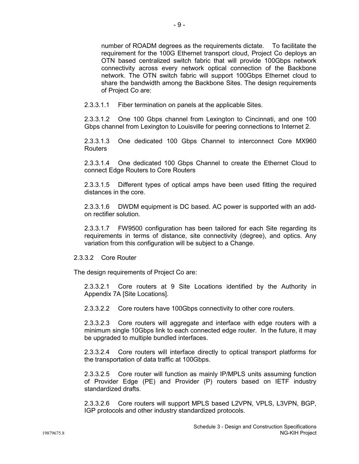number of ROADM degrees as the requirements dictate. To facilitate the requirement for the 100G Ethernet transport cloud, Project Co deploys an OTN based centralized switch fabric that will provide 100Gbps network connectivity across every network optical connection of the Backbone network. The OTN switch fabric will support 100Gbps Ethernet cloud to share the bandwidth among the Backbone Sites. The design requirements of Project Co are:

2.3.3.1.1 Fiber termination on panels at the applicable Sites.

2.3.3.1.2 One 100 Gbps channel from Lexington to Cincinnati, and one 100 Gbps channel from Lexington to Louisville for peering connections to Internet 2.

2.3.3.1.3 One dedicated 100 Gbps Channel to interconnect Core MX960 Routers

2.3.3.1.4 One dedicated 100 Gbps Channel to create the Ethernet Cloud to connect Edge Routers to Core Routers

2.3.3.1.5 Different types of optical amps have been used fitting the required distances in the core.

2.3.3.1.6 DWDM equipment is DC based. AC power is supported with an addon rectifier solution.

2.3.3.1.7 FW9500 configuration has been tailored for each Site regarding its requirements in terms of distance, site connectivity (degree), and optics. Any variation from this configuration will be subject to a Change.

2.3.3.2 Core Router

The design requirements of Project Co are:

2.3.3.2.1 Core routers at 9 Site Locations identified by the Authority in Appendix 7A [Site Locations].

2.3.3.2.2 Core routers have 100Gbps connectivity to other core routers.

2.3.3.2.3 Core routers will aggregate and interface with edge routers with a minimum single 10Gbps link to each connected edge router. In the future, it may be upgraded to multiple bundled interfaces.

2.3.3.2.4 Core routers will interface directly to optical transport platforms for the transportation of data traffic at 100Gbps.

2.3.3.2.5 Core router will function as mainly IP/MPLS units assuming function of Provider Edge (PE) and Provider (P) routers based on IETF industry standardized drafts.

2.3.3.2.6 Core routers will support MPLS based L2VPN, VPLS, L3VPN, BGP, IGP protocols and other industry standardized protocols.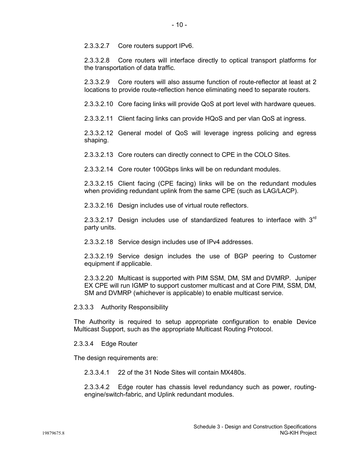2.3.3.2.7 Core routers support IPv6.

2.3.3.2.8 Core routers will interface directly to optical transport platforms for the transportation of data traffic.

2.3.3.2.9 Core routers will also assume function of route-reflector at least at 2 locations to provide route-reflection hence eliminating need to separate routers.

2.3.3.2.10 Core facing links will provide QoS at port level with hardware queues.

2.3.3.2.11 Client facing links can provide HQoS and per vlan QoS at ingress.

2.3.3.2.12 General model of QoS will leverage ingress policing and egress shaping.

2.3.3.2.13 Core routers can directly connect to CPE in the COLO Sites.

2.3.3.2.14 Core router 100Gbps links will be on redundant modules.

2.3.3.2.15 Client facing (CPE facing) links will be on the redundant modules when providing redundant uplink from the same CPE (such as LAG/LACP).

2.3.3.2.16 Design includes use of virtual route reflectors.

2.3.3.2.17 Design includes use of standardized features to interface with  $3<sup>rd</sup>$ party units.

2.3.3.2.18 Service design includes use of IPv4 addresses.

2.3.3.2.19 Service design includes the use of BGP peering to Customer equipment if applicable.

2.3.3.2.20 Multicast is supported with PIM SSM, DM, SM and DVMRP. Juniper EX CPE will run IGMP to support customer multicast and at Core PIM, SSM, DM, SM and DVMRP (whichever is applicable) to enable multicast service.

2.3.3.3 Authority Responsibility

The Authority is required to setup appropriate configuration to enable Device Multicast Support, such as the appropriate Multicast Routing Protocol.

2.3.3.4 Edge Router

The design requirements are:

2.3.3.4.1 22 of the 31 Node Sites will contain MX480s.

2.3.3.4.2 Edge router has chassis level redundancy such as power, routingengine/switch-fabric, and Uplink redundant modules.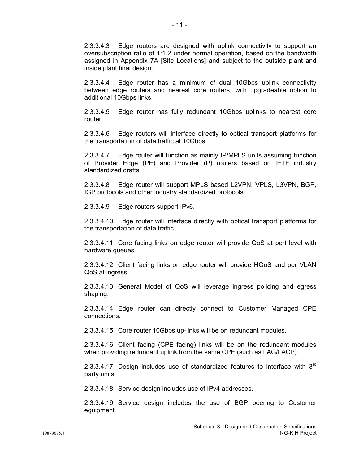2.3.3.4.3 Edge routers are designed with uplink connectivity to support an oversubscription ratio of 1:1.2 under normal operation, based on the bandwidth assigned in Appendix 7A [Site Locations] and subject to the outside plant and inside plant final design.

2.3.3.4.4 Edge router has a minimum of dual 10Gbps uplink connectivity between edge routers and nearest core routers, with upgradeable option to additional 10Gbps links.

2.3.3.4.5 Edge router has fully redundant 10Gbps uplinks to nearest core router.

2.3.3.4.6 Edge routers will interface directly to optical transport platforms for the transportation of data traffic at 10Gbps.

2.3.3.4.7 Edge router will function as mainly IP/MPLS units assuming function of Provider Edge (PE) and Provider (P) routers based on IETF industry standardized drafts.

2.3.3.4.8 Edge router will support MPLS based L2VPN, VPLS, L3VPN, BGP, IGP protocols and other industry standardized protocols.

2.3.3.4.9 Edge routers support IPv6.

2.3.3.4.10 Edge router will interface directly with optical transport platforms for the transportation of data traffic.

2.3.3.4.11 Core facing links on edge router will provide QoS at port level with hardware queues.

2.3.3.4.12 Client facing links on edge router will provide HQoS and per VLAN QoS at ingress.

2.3.3.4.13 General Model of QoS will leverage ingress policing and egress shaping.

2.3.3.4.14 Edge router can directly connect to Customer Managed CPE connections.

2.3.3.4.15 Core router 10Gbps up-links will be on redundant modules.

2.3.3.4.16 Client facing (CPE facing) links will be on the redundant modules when providing redundant uplink from the same CPE (such as LAG/LACP).

2.3.3.4.17 Design includes use of standardized features to interface with  $3<sup>rd</sup>$ party units.

2.3.3.4.18 Service design includes use of IPv4 addresses.

2.3.3.4.19 Service design includes the use of BGP peering to Customer equipment.

NG-KIH Project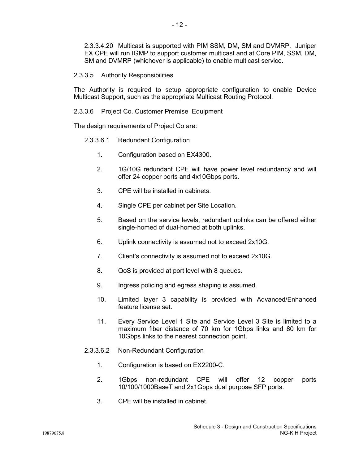2.3.3.4.20 Multicast is supported with PIM SSM, DM, SM and DVMRP. Juniper EX CPE will run IGMP to support customer multicast and at Core PIM, SSM, DM, SM and DVMRP (whichever is applicable) to enable multicast service.

## 2.3.3.5 Authority Responsibilities

The Authority is required to setup appropriate configuration to enable Device Multicast Support, such as the appropriate Multicast Routing Protocol.

2.3.3.6 Project Co. Customer Premise Equipment

The design requirements of Project Co are:

# 2.3.3.6.1 Redundant Configuration

- 1. Configuration based on EX4300.
- 2. 1G/10G redundant CPE will have power level redundancy and will offer 24 copper ports and 4x10Gbps ports.
- 3. CPE will be installed in cabinets.
- 4. Single CPE per cabinet per Site Location.
- 5. Based on the service levels, redundant uplinks can be offered either single-homed of dual-homed at both uplinks.
- 6. Uplink connectivity is assumed not to exceed 2x10G.
- 7. Client's connectivity is assumed not to exceed 2x10G.
- 8. QoS is provided at port level with 8 queues.
- 9. Ingress policing and egress shaping is assumed.
- 10. Limited layer 3 capability is provided with Advanced/Enhanced feature license set.
- 11. Every Service Level 1 Site and Service Level 3 Site is limited to a maximum fiber distance of 70 km for 1Gbps links and 80 km for 10Gbps links to the nearest connection point.
- 2.3.3.6.2 Non-Redundant Configuration
	- 1. Configuration is based on EX2200-C.
	- 2. 1Gbps non-redundant CPE will offer 12 copper ports 10/100/1000BaseT and 2x1Gbps dual purpose SFP ports.
	- 3. CPE will be installed in cabinet.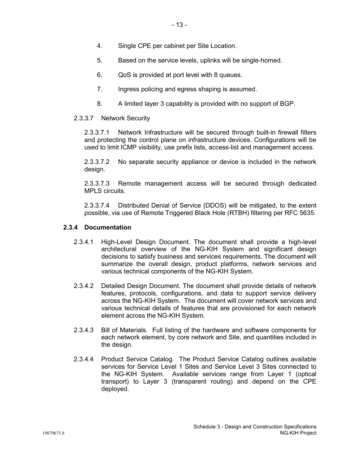- 4. Single CPE per cabinet per Site Location.
- 5. Based on the service levels, uplinks will be single-homed.
- 6. QoS is provided at port level with 8 queues.
- 7. Ingress policing and egress shaping is assumed.
- 8. A limited layer 3 capability is provided with no support of BGP.

# 2.3.3.7 Network Security

2.3.3.7.1 Network Infrastructure will be secured through built-in firewall filters and protecting the control plane on infrastructure devices. Configurations will be used to limit ICMP visibility, use prefix lists, access-list and management access.

2.3.3.7.2 No separate security appliance or device is included in the network design.

2.3.3.7.3 Remote management access will be secured through dedicated MPLS circuits.

2.3.3.7.4 Distributed Denial of Service (DDOS) will be mitigated, to the extent possible, via use of Remote Triggered Black Hole (RTBH) filtering per RFC 5635.

# **2.3.4 Documentation**

- 2.3.4.1 High-Level Design Document. The document shall provide a high-level architectural overview of the NG-KIH System and significant design decisions to satisfy business and services requirements. The document will summarize the overall design, product platforms, network services and various technical components of the NG-KIH System.
- 2.3.4.2 Detailed Design Document. The document shall provide details of network features, protocols, configurations, and data to support service delivery across the NG-KIH System. The document will cover network services and various technical details of features that are provisioned for each network element across the NG-KIH System.
- 2.3.4.3 Bill of Materials. Full listing of the hardware and software components for each network element, by core network and Site, and quantities included in the design.
- 2.3.4.4 Product Service Catalog. The Product Service Catalog outlines available services for Service Level 1 Sites and Service Level 3 Sites connected to the NG-KIH System. Available services range from Layer 1 (optical transport) to Layer 3 (transparent routing) and depend on the CPE deployed.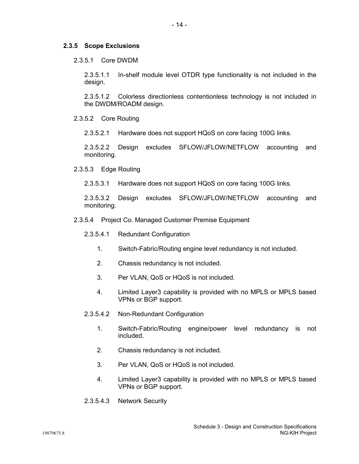#### **2.3.5 Scope Exclusions**

2.3.5.1 Core DWDM

2.3.5.1.1 In-shelf module level OTDR type functionality is not included in the design.

2.3.5.1.2 Colorless directionless contentionless technology is not included in the DWDM/ROADM design.

2.3.5.2 Core Routing

2.3.5.2.1 Hardware does not support HQoS on core facing 100G links.

2.3.5.2.2 Design excludes SFLOW/JFLOW/NETFLOW accounting and monitoring.

2.3.5.3 Edge Routing

2.3.5.3.1 Hardware does not support HQoS on core facing 100G links.

2.3.5.3.2 Design excludes SFLOW/JFLOW/NETFLOW accounting and monitoring.

- 2.3.5.4 Project Co. Managed Customer Premise Equipment
	- 2.3.5.4.1 Redundant Configuration
		- 1. Switch-Fabric/Routing engine level redundancy is not included.
		- 2. Chassis redundancy is not included.
		- 3. Per VLAN, QoS or HQoS is not included.
		- 4. Limited Layer3 capability is provided with no MPLS or MPLS based VPNs or BGP support.
	- 2.3.5.4.2 Non-Redundant Configuration
		- 1. Switch-Fabric/Routing engine/power level redundancy is not included.
		- 2. Chassis redundancy is not included.
		- 3. Per VLAN, QoS or HQoS is not included.
		- 4. Limited Layer3 capability is provided with no MPLS or MPLS based VPNs or BGP support.
	- 2.3.5.4.3 Network Security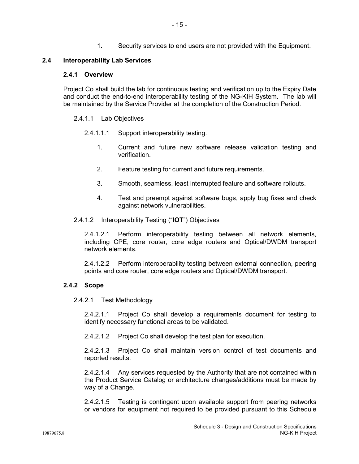1. Security services to end users are not provided with the Equipment.

# **2.4 Interoperability Lab Services**

## **2.4.1 Overview**

Project Co shall build the lab for continuous testing and verification up to the Expiry Date and conduct the end-to-end interoperability testing of the NG-KIH System. The lab will be maintained by the Service Provider at the completion of the Construction Period.

## 2.4.1.1 Lab Objectives

- 2.4.1.1.1 Support interoperability testing.
	- 1. Current and future new software release validation testing and verification.
	- 2. Feature testing for current and future requirements.
	- 3. Smooth, seamless, least interrupted feature and software rollouts.
	- 4. Test and preempt against software bugs, apply bug fixes and check against network vulnerabilities.
- 2.4.1.2 Interoperability Testing ("**IOT**") Objectives

2.4.1.2.1 Perform interoperability testing between all network elements, including CPE, core router, core edge routers and Optical/DWDM transport network elements.

2.4.1.2.2 Perform interoperability testing between external connection, peering points and core router, core edge routers and Optical/DWDM transport.

# **2.4.2 Scope**

## 2.4.2.1 Test Methodology

2.4.2.1.1 Project Co shall develop a requirements document for testing to identify necessary functional areas to be validated.

2.4.2.1.2 Project Co shall develop the test plan for execution.

2.4.2.1.3 Project Co shall maintain version control of test documents and reported results.

2.4.2.1.4 Any services requested by the Authority that are not contained within the Product Service Catalog or architecture changes/additions must be made by way of a Change.

2.4.2.1.5 Testing is contingent upon available support from peering networks or vendors for equipment not required to be provided pursuant to this Schedule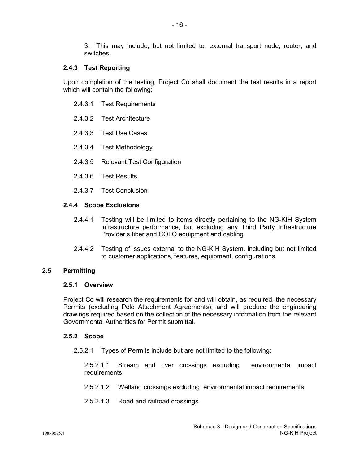3. This may include, but not limited to, external transport node, router, and switches.

# **2.4.3 Test Reporting**

Upon completion of the testing, Project Co shall document the test results in a report which will contain the following:

- 2.4.3.1 Test Requirements
- 2.4.3.2 Test Architecture
- 2.4.3.3 Test Use Cases
- 2.4.3.4 Test Methodology
- 2.4.3.5 Relevant Test Configuration
- 2.4.3.6 Test Results
- 2.4.3.7 Test Conclusion

# **2.4.4 Scope Exclusions**

- 2.4.4.1 Testing will be limited to items directly pertaining to the NG-KIH System infrastructure performance, but excluding any Third Party Infrastructure Provider's fiber and COLO equipment and cabling.
- 2.4.4.2 Testing of issues external to the NG-KIH System, including but not limited to customer applications, features, equipment, configurations.

## **2.5 Permitting**

## **2.5.1 Overview**

Project Co will research the requirements for and will obtain, as required, the necessary Permits (excluding Pole Attachment Agreements), and will produce the engineering drawings required based on the collection of the necessary information from the relevant Governmental Authorities for Permit submittal.

## **2.5.2 Scope**

2.5.2.1 Types of Permits include but are not limited to the following:

2.5.2.1.1 Stream and river crossings excluding environmental impact requirements

- 2.5.2.1.2 Wetland crossings excluding environmental impact requirements
- 2.5.2.1.3 Road and railroad crossings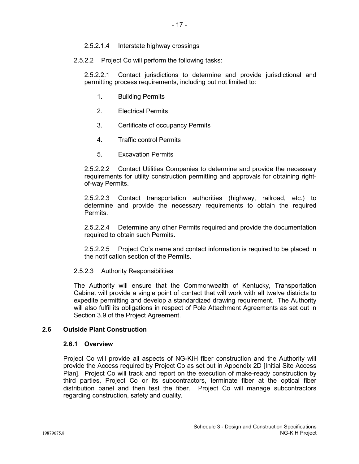2.5.2.1.4 Interstate highway crossings

2.5.2.2 Project Co will perform the following tasks:

2.5.2.2.1 Contact jurisdictions to determine and provide jurisdictional and permitting process requirements, including but not limited to:

- 1. Building Permits
- 2. Electrical Permits
- 3. Certificate of occupancy Permits
- 4. Traffic control Permits
- 5. Excavation Permits

2.5.2.2.2 Contact Utilities Companies to determine and provide the necessary requirements for utility construction permitting and approvals for obtaining rightof-way Permits.

2.5.2.2.3 Contact transportation authorities (highway, railroad, etc.) to determine and provide the necessary requirements to obtain the required Permits.

2.5.2.2.4 Determine any other Permits required and provide the documentation required to obtain such Permits.

2.5.2.2.5 Project Co's name and contact information is required to be placed in the notification section of the Permits.

## 2.5.2.3 Authority Responsibilities

The Authority will ensure that the Commonwealth of Kentucky, Transportation Cabinet will provide a single point of contact that will work with all twelve districts to expedite permitting and develop a standardized drawing requirement. The Authority will also fulfil its obligations in respect of Pole Attachment Agreements as set out in Section 3.9 of the Project Agreement.

## **2.6 Outside Plant Construction**

## **2.6.1 Overview**

Project Co will provide all aspects of NG-KIH fiber construction and the Authority will provide the Access required by Project Co as set out in Appendix 2D [Initial Site Access Plan]. Project Co will track and report on the execution of make-ready construction by third parties, Project Co or its subcontractors, terminate fiber at the optical fiber distribution panel and then test the fiber. Project Co will manage subcontractors regarding construction, safety and quality.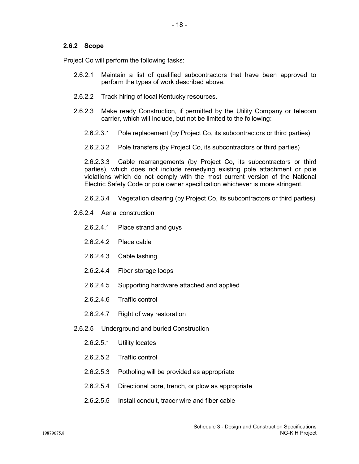# **2.6.2 Scope**

Project Co will perform the following tasks:

- 2.6.2.1 Maintain a list of qualified subcontractors that have been approved to perform the types of work described above.
- 2.6.2.2 Track hiring of local Kentucky resources.
- 2.6.2.3 Make ready Construction, if permitted by the Utility Company or telecom carrier, which will include, but not be limited to the following:
	- 2.6.2.3.1 Pole replacement (by Project Co, its subcontractors or third parties)
	- 2.6.2.3.2 Pole transfers (by Project Co, its subcontractors or third parties)

2.6.2.3.3 Cable rearrangements (by Project Co, its subcontractors or third parties), which does not include remedying existing pole attachment or pole violations which do not comply with the most current version of the National Electric Safety Code or pole owner specification whichever is more stringent.

- 2.6.2.3.4 Vegetation clearing (by Project Co, its subcontractors or third parties)
- 2.6.2.4 Aerial construction
	- 2.6.2.4.1 Place strand and guys
	- 2.6.2.4.2 Place cable
	- 2.6.2.4.3 Cable lashing
	- 2.6.2.4.4 Fiber storage loops
	- 2.6.2.4.5 Supporting hardware attached and applied
	- 2.6.2.4.6 Traffic control
	- 2.6.2.4.7 Right of way restoration
- 2.6.2.5 Underground and buried Construction
	- 2.6.2.5.1 Utility locates
	- 2.6.2.5.2 Traffic control
	- 2.6.2.5.3 Potholing will be provided as appropriate
	- 2.6.2.5.4 Directional bore, trench, or plow as appropriate
	- 2.6.2.5.5 Install conduit, tracer wire and fiber cable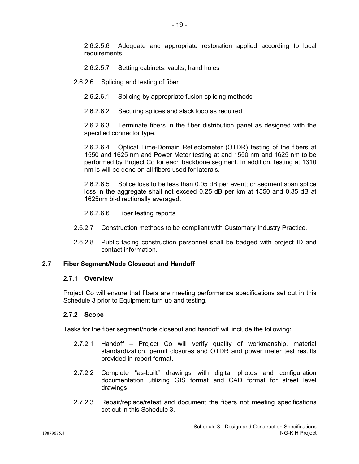2.6.2.5.6 Adequate and appropriate restoration applied according to local requirements

- 2.6.2.5.7 Setting cabinets, vaults, hand holes
- 2.6.2.6 Splicing and testing of fiber
	- 2.6.2.6.1 Splicing by appropriate fusion splicing methods
	- 2.6.2.6.2 Securing splices and slack loop as required

2.6.2.6.3 Terminate fibers in the fiber distribution panel as designed with the specified connector type.

2.6.2.6.4 Optical Time-Domain Reflectometer (OTDR) testing of the fibers at 1550 and 1625 nm and Power Meter testing at and 1550 nm and 1625 nm to be performed by Project Co for each backbone segment. In addition, testing at 1310 nm is will be done on all fibers used for laterals.

2.6.2.6.5 Splice loss to be less than 0.05 dB per event; or segment span splice loss in the aggregate shall not exceed 0.25 dB per km at 1550 and 0.35 dB at 1625nm bi-directionally averaged.

2.6.2.6.6 Fiber testing reports

- 2.6.2.7 Construction methods to be compliant with Customary Industry Practice.
- 2.6.2.8 Public facing construction personnel shall be badged with project ID and contact information.

## **2.7 Fiber Segment/Node Closeout and Handoff**

## **2.7.1 Overview**

Project Co will ensure that fibers are meeting performance specifications set out in this Schedule 3 prior to Equipment turn up and testing.

## **2.7.2 Scope**

Tasks for the fiber segment/node closeout and handoff will include the following:

- 2.7.2.1 Handoff Project Co will verify quality of workmanship, material standardization, permit closures and OTDR and power meter test results provided in report format.
- 2.7.2.2 Complete "as-built" drawings with digital photos and configuration documentation utilizing GIS format and CAD format for street level drawings.
- 2.7.2.3 Repair/replace/retest and document the fibers not meeting specifications set out in this Schedule 3.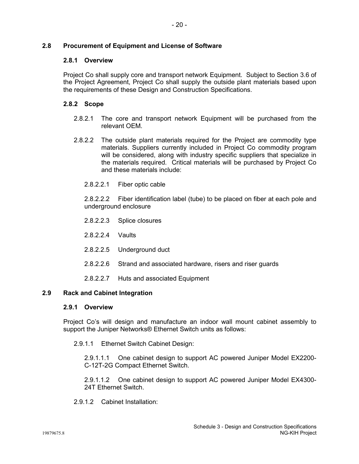# **2.8 Procurement of Equipment and License of Software**

# **2.8.1 Overview**

Project Co shall supply core and transport network Equipment. Subject to Section 3.6 of the Project Agreement, Project Co shall supply the outside plant materials based upon the requirements of these Design and Construction Specifications.

# **2.8.2 Scope**

- 2.8.2.1 The core and transport network Equipment will be purchased from the relevant OEM.
- 2.8.2.2 The outside plant materials required for the Project are commodity type materials. Suppliers currently included in Project Co commodity program will be considered, along with industry specific suppliers that specialize in the materials required. Critical materials will be purchased by Project Co and these materials include:
	- 2.8.2.2.1 Fiber optic cable

2.8.2.2.2 Fiber identification label (tube) to be placed on fiber at each pole and underground enclosure

- 2.8.2.2.3 Splice closures
- 2.8.2.2.4 Vaults
- 2.8.2.2.5 Underground duct
- 2.8.2.2.6 Strand and associated hardware, risers and riser guards
- 2.8.2.2.7 Huts and associated Equipment

# **2.9 Rack and Cabinet Integration**

# **2.9.1 Overview**

Project Co's will design and manufacture an indoor wall mount cabinet assembly to support the Juniper Networks® Ethernet Switch units as follows:

2.9.1.1 Ethernet Switch Cabinet Design:

2.9.1.1.1 One cabinet design to support AC powered Juniper Model EX2200- C-12T-2G Compact Ethernet Switch.

2.9.1.1.2 One cabinet design to support AC powered Juniper Model EX4300- 24T Ethernet Switch.

2.9.1.2 Cabinet Installation: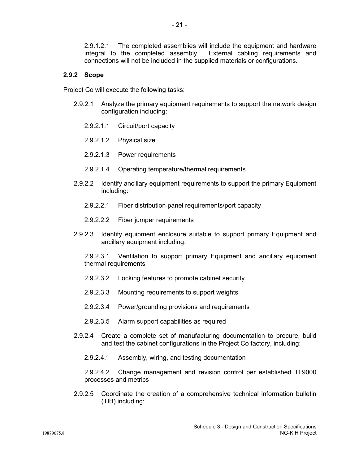2.9.1.2.1 The completed assemblies will include the equipment and hardware integral to the completed assembly. External cabing requirements and integral to the completed assembly. connections will not be included in the supplied materials or configurations.

## **2.9.2 Scope**

Project Co will execute the following tasks:

- 2.9.2.1 Analyze the primary equipment requirements to support the network design configuration including:
	- 2.9.2.1.1 Circuit/port capacity
	- 2.9.2.1.2 Physical size
	- 2.9.2.1.3 Power requirements
	- 2.9.2.1.4 Operating temperature/thermal requirements
- 2.9.2.2 Identify ancillary equipment requirements to support the primary Equipment including:
	- 2.9.2.2.1 Fiber distribution panel requirements/port capacity
	- 2.9.2.2.2 Fiber jumper requirements
- 2.9.2.3 Identify equipment enclosure suitable to support primary Equipment and ancillary equipment including:

2.9.2.3.1 Ventilation to support primary Equipment and ancillary equipment thermal requirements

- 2.9.2.3.2 Locking features to promote cabinet security
- 2.9.2.3.3 Mounting requirements to support weights
- 2.9.2.3.4 Power/grounding provisions and requirements
- 2.9.2.3.5 Alarm support capabilities as required
- 2.9.2.4 Create a complete set of manufacturing documentation to procure, build and test the cabinet configurations in the Project Co factory, including:
	- 2.9.2.4.1 Assembly, wiring, and testing documentation

2.9.2.4.2 Change management and revision control per established TL9000 processes and metrics

2.9.2.5 Coordinate the creation of a comprehensive technical information bulletin (TIB) including: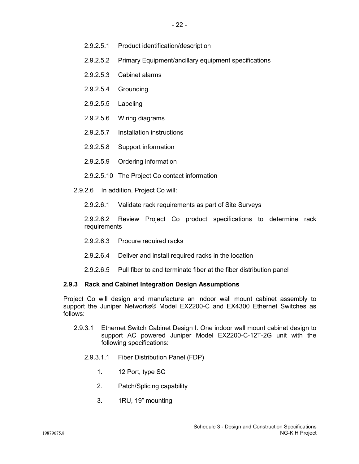- 2.9.2.5.1 Product identification/description
- 2.9.2.5.2 Primary Equipment/ancillary equipment specifications
- 2.9.2.5.3 Cabinet alarms
- 2.9.2.5.4 Grounding
- 2.9.2.5.5 Labeling
- 2.9.2.5.6 Wiring diagrams
- 2.9.2.5.7 Installation instructions
- 2.9.2.5.8 Support information
- 2.9.2.5.9 Ordering information
- 2.9.2.5.10 The Project Co contact information
- 2.9.2.6 In addition, Project Co will:
	- 2.9.2.6.1 Validate rack requirements as part of Site Surveys

2.9.2.6.2 Review Project Co product specifications to determine rack requirements

- 2.9.2.6.3 Procure required racks
- 2.9.2.6.4 Deliver and install required racks in the location
- 2.9.2.6.5 Pull fiber to and terminate fiber at the fiber distribution panel

## **2.9.3 Rack and Cabinet Integration Design Assumptions**

Project Co will design and manufacture an indoor wall mount cabinet assembly to support the Juniper Networks® Model EX2200-C and EX4300 Ethernet Switches as follows:

- 2.9.3.1 Ethernet Switch Cabinet Design I. One indoor wall mount cabinet design to support AC powered Juniper Model EX2200-C-12T-2G unit with the following specifications:
	- 2.9.3.1.1 Fiber Distribution Panel (FDP)
		- 1. 12 Port, type SC
		- 2. Patch/Splicing capability
		- 3. 1RU, 19" mounting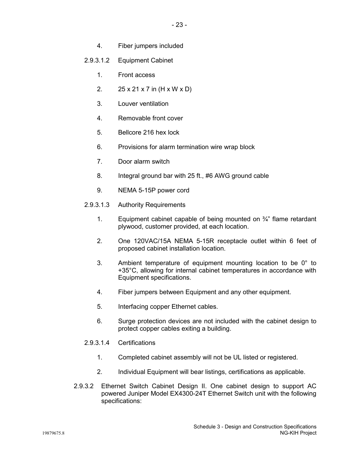- 4. Fiber jumpers included
- 2.9.3.1.2 Equipment Cabinet
	- 1. Front access
	- 2. 25 x 21 x 7 in (H x W x D)
	- 3. Louver ventilation
	- 4. Removable front cover
	- 5. Bellcore 216 hex lock
	- 6. Provisions for alarm termination wire wrap block
	- 7. Door alarm switch
	- 8. Integral ground bar with 25 ft., #6 AWG ground cable
	- 9. NEMA 5-15P power cord
- 2.9.3.1.3 Authority Requirements
	- 1. Equipment cabinet capable of being mounted on  $\frac{3}{4}$ " flame retardant plywood, customer provided, at each location.
	- 2. One 120VAC/15A NEMA 5-15R receptacle outlet within 6 feet of proposed cabinet installation location.
	- 3. Ambient temperature of equipment mounting location to be 0° to +35°C, allowing for internal cabinet temperatures in accordance with Equipment specifications.
	- 4. Fiber jumpers between Equipment and any other equipment.
	- 5. Interfacing copper Ethernet cables.
	- 6. Surge protection devices are not included with the cabinet design to protect copper cables exiting a building.
- 2.9.3.1.4 Certifications
	- 1. Completed cabinet assembly will not be UL listed or registered.
	- 2. Individual Equipment will bear listings, certifications as applicable.
- 2.9.3.2 Ethernet Switch Cabinet Design II. One cabinet design to support AC powered Juniper Model EX4300-24T Ethernet Switch unit with the following specifications: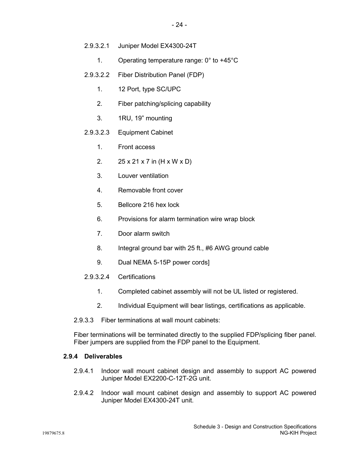- 2.9.3.2.1 Juniper Model EX4300-24T
	- 1. Operating temperature range: 0° to +45°C
- 2.9.3.2.2 Fiber Distribution Panel (FDP)
	- 1. 12 Port, type SC/UPC
	- 2. Fiber patching/splicing capability
	- 3. 1RU, 19" mounting
- 2.9.3.2.3 Equipment Cabinet
	- 1. Front access
	- 2. 25 x 21 x 7 in (H x W x D)
	- 3. Louver ventilation
	- 4. Removable front cover
	- 5. Bellcore 216 hex lock
	- 6. Provisions for alarm termination wire wrap block
	- 7. Door alarm switch
	- 8. Integral ground bar with 25 ft., #6 AWG ground cable
	- 9. Dual NEMA 5-15P power cords]
- 2.9.3.2.4 Certifications
	- 1. Completed cabinet assembly will not be UL listed or registered.
	- 2. Individual Equipment will bear listings, certifications as applicable.
- 2.9.3.3 Fiber terminations at wall mount cabinets:

Fiber terminations will be terminated directly to the supplied FDP/splicing fiber panel. Fiber jumpers are supplied from the FDP panel to the Equipment.

### **2.9.4 Deliverables**

- 2.9.4.1 Indoor wall mount cabinet design and assembly to support AC powered Juniper Model EX2200-C-12T-2G unit.
- 2.9.4.2 Indoor wall mount cabinet design and assembly to support AC powered Juniper Model EX4300-24T unit.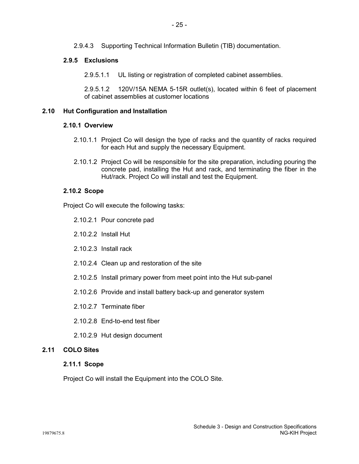2.9.4.3 Supporting Technical Information Bulletin (TIB) documentation.

# **2.9.5 Exclusions**

2.9.5.1.1 UL listing or registration of completed cabinet assemblies.

2.9.5.1.2 120V/15A NEMA 5-15R outlet(s), located within 6 feet of placement of cabinet assemblies at customer locations

# **2.10 Hut Configuration and Installation**

# **2.10.1 Overview**

- 2.10.1.1 Project Co will design the type of racks and the quantity of racks required for each Hut and supply the necessary Equipment.
- 2.10.1.2 Project Co will be responsible for the site preparation, including pouring the concrete pad, installing the Hut and rack, and terminating the fiber in the Hut/rack. Project Co will install and test the Equipment.

# **2.10.2 Scope**

Project Co will execute the following tasks:

- 2.10.2.1 Pour concrete pad
- 2.10.2.2 Install Hut
- 2.10.2.3 Install rack
- 2.10.2.4 Clean up and restoration of the site
- 2.10.2.5 Install primary power from meet point into the Hut sub-panel
- 2.10.2.6 Provide and install battery back-up and generator system
- 2.10.2.7 Terminate fiber
- 2.10.2.8 End-to-end test fiber
- 2.10.2.9 Hut design document

# **2.11 COLO Sites**

## **2.11.1 Scope**

Project Co will install the Equipment into the COLO Site.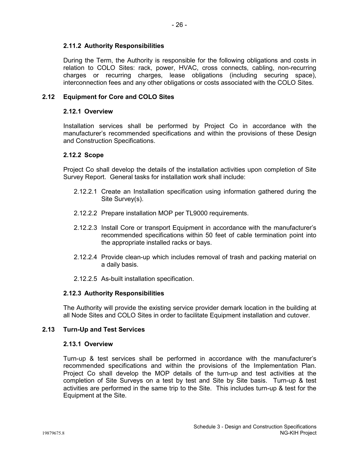# **2.11.2 Authority Responsibilities**

During the Term, the Authority is responsible for the following obligations and costs in relation to COLO Sites: rack, power, HVAC, cross connects, cabling, non-recurring charges or recurring charges, lease obligations (including securing space), interconnection fees and any other obligations or costs associated with the COLO Sites.

# **2.12 Equipment for Core and COLO Sites**

# **2.12.1 Overview**

Installation services shall be performed by Project Co in accordance with the manufacturer's recommended specifications and within the provisions of these Design and Construction Specifications.

# **2.12.2 Scope**

Project Co shall develop the details of the installation activities upon completion of Site Survey Report. General tasks for installation work shall include:

- 2.12.2.1 Create an Installation specification using information gathered during the Site Survey(s).
- 2.12.2.2 Prepare installation MOP per TL9000 requirements.
- 2.12.2.3 Install Core or transport Equipment in accordance with the manufacturer's recommended specifications within 50 feet of cable termination point into the appropriate installed racks or bays.
- 2.12.2.4 Provide clean-up which includes removal of trash and packing material on a daily basis.
- 2.12.2.5 As-built installation specification.

# **2.12.3 Authority Responsibilities**

The Authority will provide the existing service provider demark location in the building at all Node Sites and COLO Sites in order to facilitate Equipment installation and cutover.

# **2.13 Turn-Up and Test Services**

## **2.13.1 Overview**

Turn-up & test services shall be performed in accordance with the manufacturer's recommended specifications and within the provisions of the Implementation Plan. Project Co shall develop the MOP details of the turn-up and test activities at the completion of Site Surveys on a test by test and Site by Site basis. Turn-up & test activities are performed in the same trip to the Site. This includes turn-up & test for the Equipment at the Site.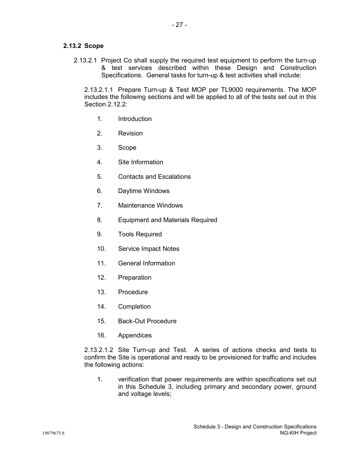# **2.13.2 Scope**

2.13.2.1 Project Co shall supply the required test equipment to perform the turn-up & test services described within these Design and Construction Specifications. General tasks for turn-up & test activities shall include:

2.13.2.1.1 Prepare Turn-up & Test MOP per TL9000 requirements. The MOP includes the following sections and will be applied to all of the tests set out in this Section 2.12.2:

- 1. Introduction
- 2. Revision
- 3. Scope
- 4. Site Information
- 5. Contacts and Escalations
- 6. Daytime Windows
- 7. Maintenance Windows
- 8. Equipment and Materials Required
- 9. Tools Required
- 10. Service Impact Notes
- 11 General Information
- 12. Preparation
- 13. Procedure
- 14. Completion
- 15. Back-Out Procedure
- 16. Appendices

2.13.2.1.2 Site Turn-up and Test. A series of actions checks and tests to confirm the Site is operational and ready to be provisioned for traffic and includes the following actions:

1. verification that power requirements are within specifications set out in this Schedule 3, including primary and secondary power, ground and voltage levels;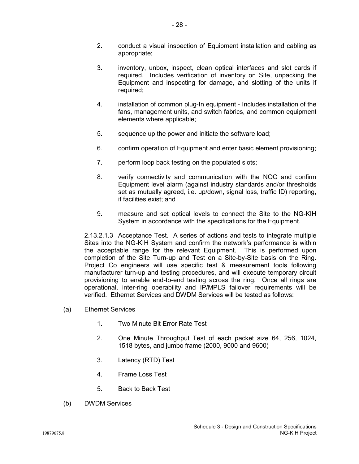- 2. conduct a visual inspection of Equipment installation and cabling as appropriate;
- 3. inventory, unbox, inspect, clean optical interfaces and slot cards if required. Includes verification of inventory on Site, unpacking the Equipment and inspecting for damage, and slotting of the units if required;
- 4. installation of common plug-In equipment Includes installation of the fans, management units, and switch fabrics, and common equipment elements where applicable;
- 5. sequence up the power and initiate the software load;
- 6. confirm operation of Equipment and enter basic element provisioning;
- 7. perform loop back testing on the populated slots;
- 8. verify connectivity and communication with the NOC and confirm Equipment level alarm (against industry standards and/or thresholds set as mutually agreed, i.e. up/down, signal loss, traffic ID) reporting, if facilities exist; and
- 9. measure and set optical levels to connect the Site to the NG-KIH System in accordance with the specifications for the Equipment.

2.13.2.1.3 Acceptance Test. A series of actions and tests to integrate multiple Sites into the NG-KIH System and confirm the network's performance is within the acceptable range for the relevant Equipment. This is performed upon completion of the Site Turn-up and Test on a Site-by-Site basis on the Ring. Project Co engineers will use specific test & measurement tools following manufacturer turn-up and testing procedures, and will execute temporary circuit provisioning to enable end-to-end testing across the ring. Once all rings are operational, inter-ring operability and IP/MPLS failover requirements will be verified. Ethernet Services and DWDM Services will be tested as follows:

- (a) Ethernet Services
	- 1. Two Minute Bit Error Rate Test
	- 2. One Minute Throughput Test of each packet size 64, 256, 1024, 1518 bytes, and jumbo frame (2000, 9000 and 9600)
	- 3. Latency (RTD) Test
	- 4. Frame Loss Test
	- 5. Back to Back Test
- (b) DWDM Services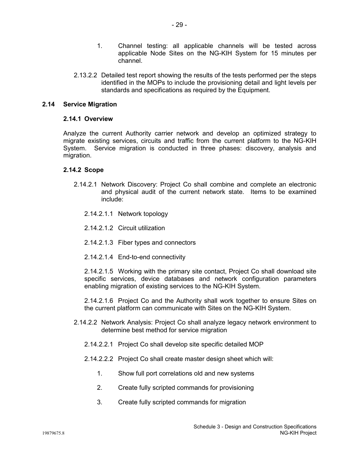- 1. Channel testing: all applicable channels will be tested across applicable Node Sites on the NG-KIH System for 15 minutes per channel.
- 2.13.2.2 Detailed test report showing the results of the tests performed per the steps identified in the MOPs to include the provisioning detail and light levels per standards and specifications as required by the Equipment.

# **2.14 Service Migration**

# **2.14.1 Overview**

Analyze the current Authority carrier network and develop an optimized strategy to migrate existing services, circuits and traffic from the current platform to the NG-KIH System. Service migration is conducted in three phases: discovery, analysis and migration.

# **2.14.2 Scope**

- 2.14.2.1 Network Discovery: Project Co shall combine and complete an electronic and physical audit of the current network state. Items to be examined include:
	- 2.14.2.1.1 Network topology
	- 2.14.2.1.2 Circuit utilization
	- 2.14.2.1.3 Fiber types and connectors
	- 2.14.2.1.4 End-to-end connectivity

2.14.2.1.5 Working with the primary site contact, Project Co shall download site specific services, device databases and network configuration parameters enabling migration of existing services to the NG-KIH System.

2.14.2.1.6 Project Co and the Authority shall work together to ensure Sites on the current platform can communicate with Sites on the NG-KIH System.

- 2.14.2.2 Network Analysis: Project Co shall analyze legacy network environment to determine best method for service migration
	- 2.14.2.2.1 Project Co shall develop site specific detailed MOP
	- 2.14.2.2.2 Project Co shall create master design sheet which will:
		- 1. Show full port correlations old and new systems
		- 2. Create fully scripted commands for provisioning
		- 3. Create fully scripted commands for migration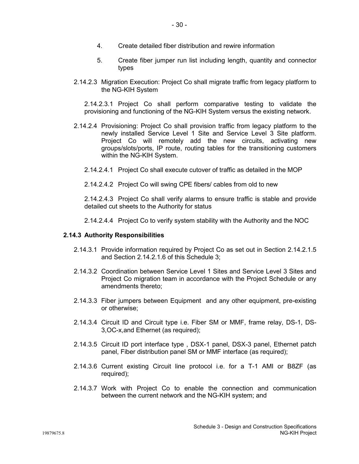- 4. Create detailed fiber distribution and rewire information
- 5. Create fiber jumper run list including length, quantity and connector types
- 2.14.2.3 Migration Execution: Project Co shall migrate traffic from legacy platform to the NG-KIH System

2.14.2.3.1 Project Co shall perform comparative testing to validate the provisioning and functioning of the NG-KIH System versus the existing network.

- 2.14.2.4 Provisioning: Project Co shall provision traffic from legacy platform to the newly installed Service Level 1 Site and Service Level 3 Site platform. Project Co will remotely add the new circuits, activating new groups/slots/ports, IP route, routing tables for the transitioning customers within the NG-KIH System.
	- 2.14.2.4.1 Project Co shall execute cutover of traffic as detailed in the MOP
	- 2.14.2.4.2 Project Co will swing CPE fibers/ cables from old to new

2.14.2.4.3 Project Co shall verify alarms to ensure traffic is stable and provide detailed cut sheets to the Authority for status

2.14.2.4.4 Project Co to verify system stability with the Authority and the NOC

# **2.14.3 Authority Responsibilities**

- 2.14.3.1 Provide information required by Project Co as set out in Section 2.14.2.1.5 and Section 2.14.2.1.6 of this Schedule 3;
- 2.14.3.2 Coordination between Service Level 1 Sites and Service Level 3 Sites and Project Co migration team in accordance with the Project Schedule or any amendments thereto;
- 2.14.3.3 Fiber jumpers between Equipment and any other equipment, pre-existing or otherwise;
- 2.14.3.4 Circuit ID and Circuit type i.e. Fiber SM or MMF, frame relay, DS-1, DS-3,OC-x,and Ethernet (as required);
- 2.14.3.5 Circuit ID port interface type , DSX-1 panel, DSX-3 panel, Ethernet patch panel, Fiber distribution panel SM or MMF interface (as required);
- 2.14.3.6 Current existing Circuit line protocol i.e. for a T-1 AMI or B8ZF (as required);
- 2.14.3.7 Work with Project Co to enable the connection and communication between the current network and the NG-KIH system; and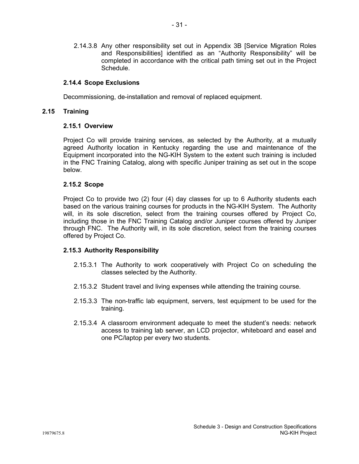2.14.3.8 Any other responsibility set out in Appendix 3B [Service Migration Roles and Responsibilities] identified as an "Authority Responsibility" will be completed in accordance with the critical path timing set out in the Project Schedule.

# **2.14.4 Scope Exclusions**

Decommissioning, de-installation and removal of replaced equipment.

# **2.15 Training**

## **2.15.1 Overview**

Project Co will provide training services, as selected by the Authority, at a mutually agreed Authority location in Kentucky regarding the use and maintenance of the Equipment incorporated into the NG-KIH System to the extent such training is included in the FNC Training Catalog, along with specific Juniper training as set out in the scope below.

# **2.15.2 Scope**

Project Co to provide two (2) four (4) day classes for up to 6 Authority students each based on the various training courses for products in the NG-KIH System. The Authority will, in its sole discretion, select from the training courses offered by Project Co, including those in the FNC Training Catalog and/or Juniper courses offered by Juniper through FNC. The Authority will, in its sole discretion, select from the training courses offered by Project Co.

# **2.15.3 Authority Responsibility**

- 2.15.3.1 The Authority to work cooperatively with Project Co on scheduling the classes selected by the Authority.
- 2.15.3.2 Student travel and living expenses while attending the training course.
- 2.15.3.3 The non-traffic lab equipment, servers, test equipment to be used for the training.
- 2.15.3.4 A classroom environment adequate to meet the student's needs: network access to training lab server, an LCD projector, whiteboard and easel and one PC/laptop per every two students.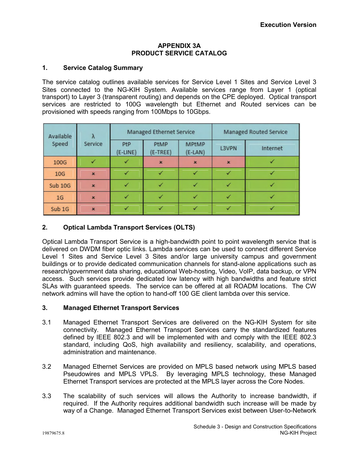## **APPENDIX 3A PRODUCT SERVICE CATALOG**

# **1. Service Catalog Summary**

The service catalog outlines available services for Service Level 1 Sites and Service Level 3 Sites connected to the NG-KIH System. Available services range from Layer 1 (optical transport) to Layer 3 (transparent routing) and depends on the CPE deployed. Optical transport services are restricted to 100G wavelength but Ethernet and Routed services can be provisioned with speeds ranging from 100Mbps to 10Gbps.

| Available<br>Speed | Service        |                 | Managed Ethernet Service |                           | <b>Managed Routed Service</b> |          |  |
|--------------------|----------------|-----------------|--------------------------|---------------------------|-------------------------------|----------|--|
|                    |                | PtP<br>(E-LINE) | PtMP<br>(E-TREE)         | <b>MPtMP</b><br>$(E-LAN)$ | L3VPN                         | Internet |  |
| 100G               |                |                 | $\mathbf{x}$             | $\mathbf{x}$              | $\mathbf{x}$                  |          |  |
| 10 <sub>G</sub>    | $\pmb{\times}$ |                 |                          |                           |                               |          |  |
| <b>Sub 10G</b>     | $\star$        |                 |                          |                           |                               |          |  |
| 1 <sub>G</sub>     | $\mathbf{x}$   |                 |                          |                           |                               |          |  |
| Sub <sub>1G</sub>  | $\mathbf{x}$   |                 |                          |                           |                               |          |  |

# **2. Optical Lambda Transport Services (OLTS)**

Optical Lambda Transport Service is a high-bandwidth point to point wavelength service that is delivered on DWDM fiber optic links. Lambda services can be used to connect different Service Level 1 Sites and Service Level 3 Sites and/or large university campus and government buildings or to provide dedicated communication channels for stand-alone applications such as research/government data sharing, educational Web-hosting, Video, VoIP, data backup, or VPN access. Such services provide dedicated low latency with high bandwidths and feature strict SLAs with guaranteed speeds. The service can be offered at all ROADM locations. The CW network admins will have the option to hand-off 100 GE client lambda over this service.

# **3. Managed Ethernet Transport Services**

- 3.1 Managed Ethernet Transport Services are delivered on the NG-KIH System for site connectivity. Managed Ethernet Transport Services carry the standardized features defined by IEEE 802.3 and will be implemented with and comply with the IEEE 802.3 standard, including QoS, high availability and resiliency, scalability, and operations, administration and maintenance.
- 3.2 Managed Ethernet Services are provided on MPLS based network using MPLS based Pseudowires and MPLS VPLS. By leveraging MPLS technology, these Managed Ethernet Transport services are protected at the MPLS layer across the Core Nodes.
- 3.3 The scalability of such services will allows the Authority to increase bandwidth, if required. If the Authority requires additional bandwidth such increase will be made by way of a Change. Managed Ethernet Transport Services exist between User-to-Network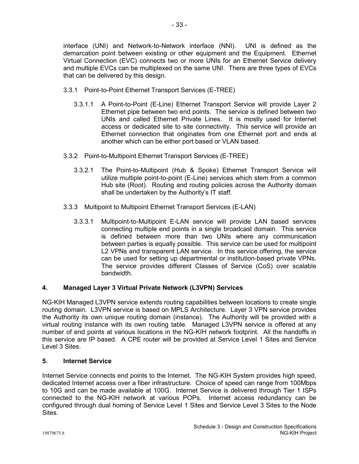interface (UNI) and Network-to-Network interface (NNI). UNI is defined as the demarcation point between existing or other equipment and the Equipment. Ethernet Virtual Connection (EVC) connects two or more UNIs for an Ethernet Service delivery and multiple EVCs can be multiplexed on the same UNI. There are three types of EVCs that can be delivered by this design.

- 3.3.1 Point-to-Point Ethernet Transport Services (E-TREE)
	- 3.3.1.1 A Point-to-Point (E-Line) Ethernet Transport Service will provide Layer 2 Ethernet pipe between two end points. The service is defined between two UNIs and called Ethernet Private Lines. It is mostly used for Internet access or dedicated site to site connectivity. This service will provide an Ethernet connection that originates from one Ethernet port and ends at another which can be either port based or VLAN based.
- 3.3.2 Point-to-Multipoint Ethernet Transport Services (E-TREE)
	- 3.3.2.1 The Point-to-Multipoint (Hub & Spoke) Ethernet Transport Service will utilize multiple point-to-point (E-Line) services which stem from a common Hub site (Root). Routing and routing policies across the Authority domain shall be undertaken by the Authority's IT staff.
- 3.3.3 Multipoint to Multipoint Ethernet Transport Services (E-LAN)
	- 3.3.3.1 Multipoint-to-Multipoint E-LAN service will provide LAN based services connecting multiple end points in a single broadcast domain. This service is defined between more than two UNIs where any communication between parties is equally possible. This service can be used for multipoint L2 VPNs and transparent LAN service. In this service offering, the service can be used for setting up departmental or institution-based private VPNs. The service provides different Classes of Service (CoS) over scalable bandwidth.

# **4. Managed Layer 3 Virtual Private Network (L3VPN) Services**

NG-KIH Managed L3VPN service extends routing capabilities between locations to create single routing domain. L3VPN service is based on MPLS Architecture. Layer 3 VPN service provides the Authority its own unique routing domain (instance). The Authority will be provided with a virtual routing instance with its own routing table. Managed L3VPN service is offered at any number of end points at various locations in the NG-KIH network footprint. All the handoffs in this service are IP based. A CPE router will be provided at Service Level 1 Sites and Service Level 3 Sites.

# **5. Internet Service**

Internet Service connects end points to the Internet. The NG-KIH System provides high speed, dedicated Internet access over a fiber infrastructure. Choice of speed can range from 100Mbps to 10G and can be made available at 100G. Internet Service is delivered through Tier 1 ISPs connected to the NG-KIH network at various POPs. Internet access redundancy can be configured through dual homing of Service Level 1 Sites and Service Level 3 Sites to the Node Sites.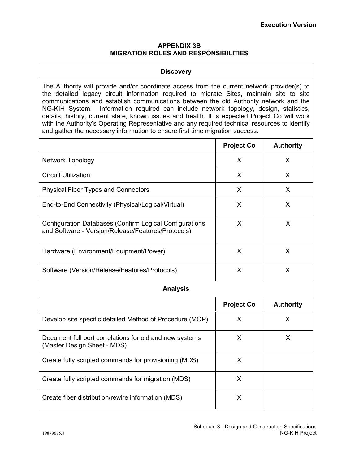# **APPENDIX 3B MIGRATION ROLES AND RESPONSIBILITIES**

## **Discovery**

The Authority will provide and/or coordinate access from the current network provider(s) to the detailed legacy circuit information required to migrate Sites, maintain site to site communications and establish communications between the old Authority network and the NG-KIH System. Information required can include network topology, design, statistics, details, history, current state, known issues and health. It is expected Project Co will work with the Authority's Operating Representative and any required technical resources to identify and gather the necessary information to ensure first time migration success.

|                                                                                                               | <b>Project Co</b> | <b>Authority</b> |  |  |  |
|---------------------------------------------------------------------------------------------------------------|-------------------|------------------|--|--|--|
| Network Topology                                                                                              | X                 | X                |  |  |  |
| <b>Circuit Utilization</b>                                                                                    | X                 | X                |  |  |  |
| <b>Physical Fiber Types and Connectors</b>                                                                    | X                 | X                |  |  |  |
| End-to-End Connectivity (Physical/Logical/Virtual)                                                            | X                 | X                |  |  |  |
| Configuration Databases (Confirm Logical Configurations<br>and Software - Version/Release/Features/Protocols) | X                 | X                |  |  |  |
| Hardware (Environment/Equipment/Power)                                                                        | X                 | X                |  |  |  |
| Software (Version/Release/Features/Protocols)                                                                 | X                 | X                |  |  |  |
| <b>Analysis</b>                                                                                               |                   |                  |  |  |  |
|                                                                                                               | <b>Project Co</b> | <b>Authority</b> |  |  |  |
| Develop site specific detailed Method of Procedure (MOP)                                                      | X                 | X                |  |  |  |
| Document full port correlations for old and new systems<br>(Master Design Sheet - MDS)                        | X                 | X                |  |  |  |
| Create fully scripted commands for provisioning (MDS)                                                         | $\sf X$           |                  |  |  |  |
| Create fully scripted commands for migration (MDS)                                                            | X                 |                  |  |  |  |
| Create fiber distribution/rewire information (MDS)                                                            | X                 |                  |  |  |  |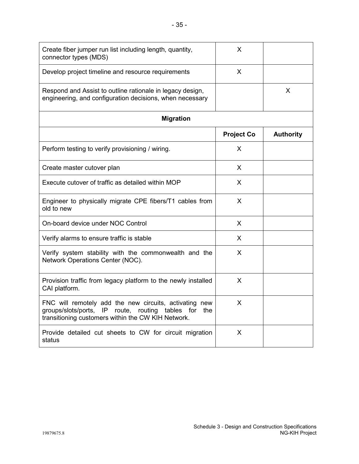| Create fiber jumper run list including length, quantity,<br>connector types (MDS)                                                                                    | X                 |                  |  |  |  |
|----------------------------------------------------------------------------------------------------------------------------------------------------------------------|-------------------|------------------|--|--|--|
| Develop project timeline and resource requirements                                                                                                                   | X                 |                  |  |  |  |
| Respond and Assist to outline rationale in legacy design,<br>engineering, and configuration decisions, when necessary                                                |                   | X                |  |  |  |
| <b>Migration</b>                                                                                                                                                     |                   |                  |  |  |  |
|                                                                                                                                                                      | <b>Project Co</b> | <b>Authority</b> |  |  |  |
| Perform testing to verify provisioning / wiring.                                                                                                                     | X                 |                  |  |  |  |
| Create master cutover plan                                                                                                                                           | X                 |                  |  |  |  |
| Execute cutover of traffic as detailed within MOP                                                                                                                    | X                 |                  |  |  |  |
| Engineer to physically migrate CPE fibers/T1 cables from<br>old to new                                                                                               | X                 |                  |  |  |  |
| On-board device under NOC Control                                                                                                                                    | X                 |                  |  |  |  |
| Verify alarms to ensure traffic is stable                                                                                                                            | X                 |                  |  |  |  |
| Verify system stability with the commonwealth and the<br>Network Operations Center (NOC).                                                                            | X                 |                  |  |  |  |
| Provision traffic from legacy platform to the newly installed<br>CAI platform.                                                                                       | X                 |                  |  |  |  |
| FNC will remotely add the new circuits, activating new<br>groups/slots/ports, IP route, routing tables for the<br>transitioning customers within the CW KIH Network. | X                 |                  |  |  |  |
| Provide detailed cut sheets to CW for circuit migration<br>status                                                                                                    | X                 |                  |  |  |  |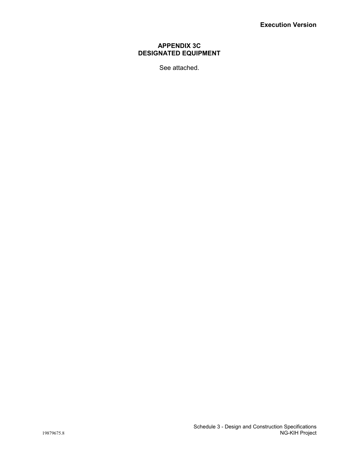# **APPENDIX 3C DESIGNATED EQUIPMENT**

See attached.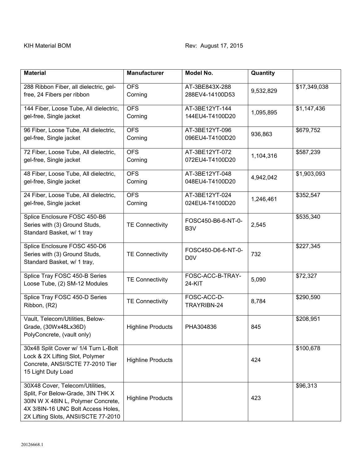| <b>Material</b>                                                                                                                                                                         | <b>Manufacturer</b>      | Model No.                                      | Quantity  |              |
|-----------------------------------------------------------------------------------------------------------------------------------------------------------------------------------------|--------------------------|------------------------------------------------|-----------|--------------|
| 288 Ribbon Fiber, all dielectric, gel-<br>free, 24 Fibers per ribbon                                                                                                                    | <b>OFS</b><br>Corning    | AT-3BE843X-288<br>9,532,829<br>288EV4-14100D53 |           | \$17,349,038 |
| 144 Fiber, Loose Tube, All dielectric,<br>gel-free, Single jacket                                                                                                                       | <b>OFS</b><br>Corning    | AT-3BE12YT-144<br>1,095,895<br>144EU4-T4100D20 |           | \$1,147,436  |
| 96 Fiber, Loose Tube, All dielectric,<br>gel-free, Single jacket                                                                                                                        | <b>OFS</b><br>Corning    | AT-3BE12YT-096<br>096EU4-T4100D20              | 936,863   | \$679,752    |
| 72 Fiber, Loose Tube, All dielectric,<br>gel-free, Single jacket                                                                                                                        | <b>OFS</b><br>Corning    | AT-3BE12YT-072<br>072EU4-T4100D20              | 1,104,316 | \$587,239    |
| 48 Fiber, Loose Tube, All dielectric,<br>gel-free, Single jacket                                                                                                                        | <b>OFS</b><br>Corning    | AT-3BE12YT-048<br>048EU4-T4100D20              | 4,942,042 | \$1,903,093  |
| 24 Fiber, Loose Tube, All dielectric,<br>gel-free, Single jacket                                                                                                                        | <b>OFS</b><br>Corning    | AT-3BE12YT-024<br>024EU4-T4100D20              | 1,246,461 | \$352,547    |
| Splice Enclosure FOSC 450-B6<br>Series with (3) Ground Studs,<br>Standard Basket, w/ 1 tray                                                                                             | <b>TE Connectivity</b>   | FOSC450-B6-6-NT-0-<br>B <sub>3</sub> V         | 2,545     | \$535,340    |
| Splice Enclosure FOSC 450-D6<br>Series with (3) Ground Studs,<br>Standard Basket, w/ 1 tray,                                                                                            | <b>TE Connectivity</b>   | FOSC450-D6-6-NT-0-<br>D <sub>0</sub> V         | 732       | \$227,345    |
| Splice Tray FOSC 450-B Series<br>Loose Tube, (2) SM-12 Modules                                                                                                                          | <b>TE Connectivity</b>   | FOSC-ACC-B-TRAY-<br>24-KIT                     | 5,090     | \$72,327     |
| Splice Tray FOSC 450-D Series<br>Ribbon, (R2)                                                                                                                                           | <b>TE Connectivity</b>   | FOSC-ACC-D-<br>TRAYRIBN-24                     | 8,784     | \$290,590    |
| Vault, Telecom/Utilities, Below-<br>Grade, (30Wx48Lx36D)<br>PolyConcrete, (vault only)                                                                                                  | <b>Highline Products</b> | PHA304836                                      | 845       | \$208,951    |
| 30x48 Split Cover w/ 1/4 Turn L-Bolt<br>Lock & 2X Lifting Slot, Polymer<br>Concrete, ANSI/SCTE 77-2010 Tier<br>15 Light Duty Load                                                       | <b>Highline Products</b> |                                                | 424       | \$100,678    |
| 30X48 Cover, Telecom/Utilities,<br>Split, For Below-Grade, 3IN THK X<br>30IN W X 48IN L, Polymer Concrete,<br>4X 3/8IN-16 UNC Bolt Access Holes,<br>2X Lifting Slots, ANSI/SCTE 77-2010 | <b>Highline Products</b> |                                                | 423       | \$96,313     |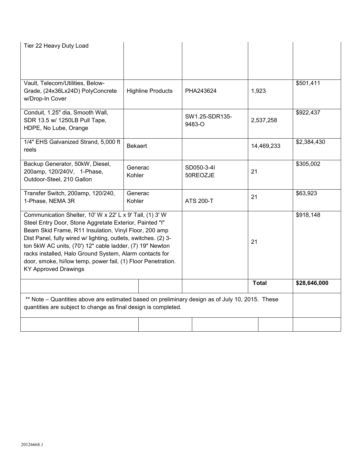| Tier 22 Heavy Duty Load                                                                                                                                                                                                                                                                                                                                                                                                                                              |                          |                  |                              |              |              |
|----------------------------------------------------------------------------------------------------------------------------------------------------------------------------------------------------------------------------------------------------------------------------------------------------------------------------------------------------------------------------------------------------------------------------------------------------------------------|--------------------------|------------------|------------------------------|--------------|--------------|
| Vault, Telecom/Utilities, Below-<br>Grade, (24x36Lx24D) PolyConcrete<br>w/Drop-In Cover                                                                                                                                                                                                                                                                                                                                                                              | <b>Highline Products</b> | PHA243624        |                              | 1,923        | \$501,411    |
| Conduit, 1.25" dia, Smooth Wall,<br>SDR 13.5 w/ 1250LB Pull Tape,<br>HDPE, No Lube, Orange                                                                                                                                                                                                                                                                                                                                                                           |                          | 9483-O           | SW1.25-SDR135-               | 2,537,258    | \$922,437    |
| 1/4" EHS Galvanized Strand, 5,000 ft<br>reels                                                                                                                                                                                                                                                                                                                                                                                                                        | <b>Bekaert</b>           |                  |                              | 14,469,233   | \$2,384,430  |
| Backup Generator, 50kW, Diesel,<br>200amp, 120/240V, 1-Phase,<br>Outdoor-Steel, 210 Gallon                                                                                                                                                                                                                                                                                                                                                                           | Generac<br>Kohler        |                  | SD050-3-4I<br>21<br>50REOZJE |              | \$305,002    |
| Transfer Switch, 200amp, 120/240,<br>1-Phase, NEMA 3R                                                                                                                                                                                                                                                                                                                                                                                                                | Generac<br>Kohler        | <b>ATS 200-T</b> |                              | 21           | \$63,923     |
| Communication Shelter, 10' W x 22' L x 9' Tall, (1) 3' W<br>Steel Entry Door, Stone Aggretate Exterior, Painted "I"<br>Beam Skid Frame, R11 Insulation, Vinyl Floor, 200 amp<br>Dist Panel, fully wired w/ lighting, outlets, switches. (2) 3-<br>ton 5kW AC units, (70') 12" cable ladder, (7) 19" Newton<br>racks installed, Halo Ground System, Alarm contacts for<br>door, smoke, hi/low temp, power fail, (1) Floor Penetration.<br><b>KY Approved Drawings</b> |                          |                  |                              | 21           | \$918,148    |
|                                                                                                                                                                                                                                                                                                                                                                                                                                                                      |                          |                  |                              | <b>Total</b> | \$28,646,000 |
| ** Note – Quantities above are estimated based on preliminary design as of July 10, 2015. These<br>quantities are subject to change as final design is completed.                                                                                                                                                                                                                                                                                                    |                          |                  |                              |              |              |
|                                                                                                                                                                                                                                                                                                                                                                                                                                                                      |                          |                  |                              |              |              |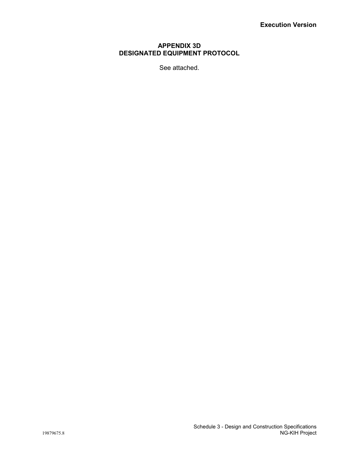# **APPENDIX 3D DESIGNATED EQUIPMENT PROTOCOL**

See attached.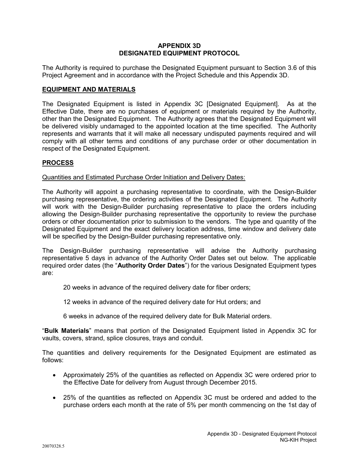# **APPENDIX 3D DESIGNATED EQUIPMENT PROTOCOL**

The Authority is required to purchase the Designated Equipment pursuant to Section 3.6 of this Project Agreement and in accordance with the Project Schedule and this Appendix 3D.

# **EQUIPMENT AND MATERIALS**

The Designated Equipment is listed in Appendix 3C [Designated Equipment]. As at the Effective Date, there are no purchases of equipment or materials required by the Authority, other than the Designated Equipment. The Authority agrees that the Designated Equipment will be delivered visibly undamaged to the appointed location at the time specified. The Authority represents and warrants that it will make all necessary undisputed payments required and will comply with all other terms and conditions of any purchase order or other documentation in respect of the Designated Equipment.

# **PROCESS**

## Quantities and Estimated Purchase Order Initiation and Delivery Dates:

The Authority will appoint a purchasing representative to coordinate, with the Design-Builder purchasing representative, the ordering activities of the Designated Equipment. The Authority will work with the Design-Builder purchasing representative to place the orders including allowing the Design-Builder purchasing representative the opportunity to review the purchase orders or other documentation prior to submission to the vendors. The type and quantity of the Designated Equipment and the exact delivery location address, time window and delivery date will be specified by the Design-Builder purchasing representative only.

The Design-Builder purchasing representative will advise the Authority purchasing representative 5 days in advance of the Authority Order Dates set out below. The applicable required order dates (the "**Authority Order Dates**") for the various Designated Equipment types are:

- 20 weeks in advance of the required delivery date for fiber orders;
- 12 weeks in advance of the required delivery date for Hut orders; and
- 6 weeks in advance of the required delivery date for Bulk Material orders.

"**Bulk Materials**" means that portion of the Designated Equipment listed in Appendix 3C for vaults, covers, strand, splice closures, trays and conduit.

The quantities and delivery requirements for the Designated Equipment are estimated as follows:

- Approximately 25% of the quantities as reflected on Appendix 3C were ordered prior to the Effective Date for delivery from August through December 2015.
- 25% of the quantities as reflected on Appendix 3C must be ordered and added to the purchase orders each month at the rate of 5% per month commencing on the 1st day of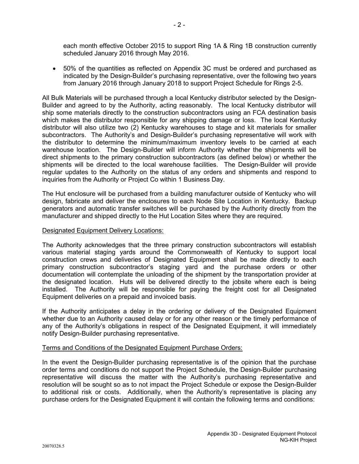each month effective October 2015 to support Ring 1A & Ring 1B construction currently scheduled January 2016 through May 2016.

 50% of the quantities as reflected on Appendix 3C must be ordered and purchased as indicated by the Design-Builder's purchasing representative, over the following two years from January 2016 through January 2018 to support Project Schedule for Rings 2-5.

All Bulk Materials will be purchased through a local Kentucky distributor selected by the Design-Builder and agreed to by the Authority, acting reasonably. The local Kentucky distributor will ship some materials directly to the construction subcontractors using an FCA destination basis which makes the distributor responsible for any shipping damage or loss. The local Kentucky distributor will also utilize two (2) Kentucky warehouses to stage and kit materials for smaller subcontractors. The Authority's and Design-Builder's purchasing representative will work with the distributor to determine the minimum/maximum inventory levels to be carried at each warehouse location. The Design-Builder will inform Authority whether the shipments will be direct shipments to the primary construction subcontractors (as defined below) or whether the shipments will be directed to the local warehouse facilities. The Design-Builder will provide regular updates to the Authority on the status of any orders and shipments and respond to inquiries from the Authority or Project Co within 1 Business Day.

The Hut enclosure will be purchased from a building manufacturer outside of Kentucky who will design, fabricate and deliver the enclosures to each Node Site Location in Kentucky. Backup generators and automatic transfer switches will be purchased by the Authority directly from the manufacturer and shipped directly to the Hut Location Sites where they are required.

# Designated Equipment Delivery Locations:

The Authority acknowledges that the three primary construction subcontractors will establish various material staging yards around the Commonwealth of Kentucky to support local construction crews and deliveries of Designated Equipment shall be made directly to each primary construction subcontractor's staging yard and the purchase orders or other documentation will contemplate the unloading of the shipment by the transportation provider at the designated location. Huts will be delivered directly to the jobsite where each is being installed. The Authority will be responsible for paying the freight cost for all Designated Equipment deliveries on a prepaid and invoiced basis.

If the Authority anticipates a delay in the ordering or delivery of the Designated Equipment whether due to an Authority caused delay or for any other reason or the timely performance of any of the Authority's obligations in respect of the Designated Equipment, it will immediately notify Design-Builder purchasing representative.

# Terms and Conditions of the Designated Equipment Purchase Orders:

In the event the Design-Builder purchasing representative is of the opinion that the purchase order terms and conditions do not support the Project Schedule, the Design-Builder purchasing representative will discuss the matter with the Authority's purchasing representative and resolution will be sought so as to not impact the Project Schedule or expose the Design-Builder to additional risk or costs. Additionally, when the Authority's representative is placing any purchase orders for the Designated Equipment it will contain the following terms and conditions: